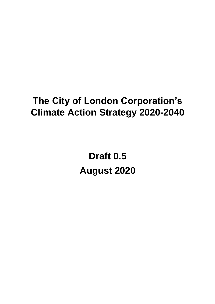# **The City of London Corporation's Climate Action Strategy 2020-2040**

**Draft 0.5 August 2020**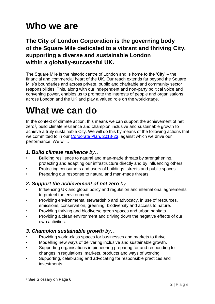# **Who we are**

### **The City of London Corporation is the governing body of the Square Mile dedicated to a vibrant and thriving City, supporting a diverse and sustainable London within a globally-successful UK.**

The Square Mile is the historic centre of London and is home to the 'City' – the financial and commercial heart of the UK. Our reach extends far beyond the Square Mile's boundaries and across private, public and charitable and community sector responsibilities. This, along with our independent and non-party political voice and convening power, enables us to promote the interests of people and organisations across London and the UK and play a valued role on the world-stage.

## **What we can do**

In the context of climate action, this means we can support the achievement of net zero<sup>1</sup>, build climate resilience and champion inclusive and sustainable growth to achieve a truly sustainable City. We will do this by means of the following actions that we committed to in our [Corporate Plan, 2018-23,](http://democracy.cityoflondon.gov.uk/documents/s117505/Appendix%203%20-%20Corporate%20Plan%202018-2023.pdf) against which we drive our performance. We will…

#### *1. Build climate resilience by…*

- Building resilience to natural and man-made threats by strengthening, protecting and adapting our infrastructure directly and by influencing others.
- Protecting consumers and users of buildings, streets and public spaces.
- Preparing our response to natural and man-made threats.

#### *2. Support the achievement of net zero by…*

- Influencing UK and global policy and regulation and international agreements to protect the environment.
- Providing environmental stewardship and advocacy, in use of resources, emissions, conservation, greening, biodiversity and access to nature.
- Providing thriving and biodiverse green spaces and urban habitats.
- Providing a clean environment and driving down the negative effects of our own activities.

#### *3. Champion sustainable growth by…*

- Providing world-class spaces for businesses and markets to thrive.
- Modelling new ways of delivering inclusive and sustainable growth.
- Supporting organisations in pioneering preparing for and responding to changes in regulations, markets, products and ways of working.
- Supporting, celebrating and advocating for responsible practices and investments.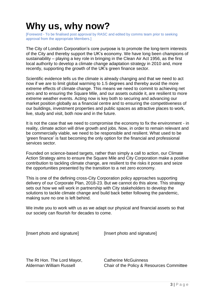## **Why us, why now?**

[Foreword - To be finalised post approval by RASC and edited by comms team prior to seeking approval from the appropriate Members.]

The City of London Corporation's core purpose is to promote the long-term interests of the City and thereby support the UK's economy. We have long been champions of sustainability – playing a key role in bringing in the Clean Air Act 1956, as the first local authority to develop a climate change adaptation strategy in 2010 and, more recently, supporting the growth of the UK's green finance sector.

Scientific evidence tells us the climate is already changing and that we need to act now if we are to limit global warming to 1.5 degrees and thereby avoid the more extreme effects of climate change. This means we need to commit to achieving net zero and to ensuring the Square Mile, and our assets outside it, are resilient to more extreme weather events. Acting now is key both to securing and advancing our market position globally as a financial centre and to ensuring the competitiveness of our buildings, investment properties and public spaces as attractive places to work, live, study and visit, both now and in the future.

It is not the case that we need to compromise the economy to fix the environment - in reality, climate action will drive growth and jobs. Now, in order to remain relevant and be commercially viable, we need to be responsible and resilient. What used to be 'green finance' is fast becoming the only option for the financial and professional services sector.

Founded on science-based targets, rather than simply a call to action, our Climate Action Strategy aims to ensure the Square Mile and City Corporation make a positive contribution to tackling climate change, are resilient to the risks it poses and seize the opportunities presented by the transition to a net zero economy.

This is one of the defining cross-City Corporation policy approaches supporting delivery of our Corporate Plan, 2018-23. But we cannot do this alone. This strategy sets out how we will work in partnership with City stakeholders to develop the solutions to tackle climate change and build back better following the pandemic, making sure no one is left behind.

We invite you to work with us as we adapt our physical and financial assets so that our society can flourish for decades to come.

[Insert photo and signature] [Insert photo and signature]

The Rt Hon. The Lord Mayor, Catherine McGuinness

Alderman William Russell Chair of the Policy & Resources Committee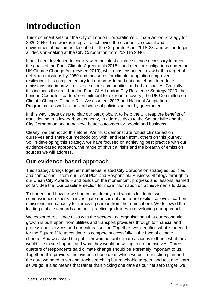# **Introduction**

This document sets out the City of London Corporation's Climate Action Strategy for 2020-2040. This work is integral to achieving the economic, societal and environmental outcomes described in the Corporate Plan, 2018-23, and will underpin all decision-making at the City Corporation from 2020 to 2040.

It has been developed to comply with the latest climate science necessary to meet the goals of the Paris Climate Agreement  $(2015)^2$  and meet our obligations under the UK Climate Change Act (revised 2019), which has enshrined in law both a target of net zero emissions by 2050 and measures for climate adaptation (improved resilience). It is complementary to London-wide and national efforts to reduce emissions and improve resilience of our communities and urban spaces. Crucially this includes the draft London Plan, GLA London City Resilience Strategy 2020, the London Councils' Leaders' commitment to a 'green recovery', the UK Committee on Climate Change, Climate Risk Assessment 2017 and National Adaptation Programme, as well as the landscape of policies set out by government.

In this way it sets us up to play our part globally, to help the UK reap the benefits of transitioning to a low-carbon economy, to address risks to the Square Mile and the City Corporation and to achieve better outcomes for people and business.

Clearly, we cannot do this alone. We must demonstrate robust climate action ourselves and share our methodology with, and learn from, others on this journey. So, in developing this strategy, we have focused on achieving best practice with our evidence-based approach, the range of physical risks and the breadth of emission sources we will address.

#### **Our evidence-based approach**

This strategy brings together numerous related City Corporation strategies, policies and campaigns – from our Local Plan and Responsible Business Strategy through to our Clean City Awards – and builds on the momentum, progress and lessons learned so far. See the 'Our baseline' section for more information on achievements to date.

To understand how far we had come already and what is left to do, we commissioned experts to investigate our current and future resilience levels, carbon emissions and capacity for removing carbon from the atmosphere. We followed the leading global standards and best-practice guidelines in developing our approach.

We explored resilience risks with the sectors and organisations that our economic growth is built upon, from utilities and transport providers through to financial and professional services and our cultural sector. Together, we identified what is needed for the Square Mile to continue to compete successfully in the face of climate change. And we asked the public how important climate action is to them, what they would like to see happen and what they would be willing to do themselves. Threequarters of respondents said climate change should be extremely important to us. Together, this provided the evidence base upon which we built our action plan and the data we need to set and track stretching but reachable targets, and test and learn as we go. It also means that rather than picking one date as our net zero target, we

<sup>2</sup> See Glossary at Page 6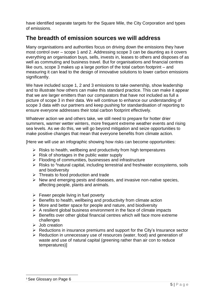have identified separate targets for the Square Mile, the City Corporation and types of emissions.

#### **The breadth of emission sources we will address**

Many organisations and authorities focus on driving down the emissions they have most control over – scope 1 and 2. Addressing scope 3 can be daunting as it covers everything an organisation buys, sells, invests in, leases to others and disposes of as well as commuting and business travel. But for organisations and financial centres like ours, scope 3 makes up a large portion of the total carbon footprint – and measuring it can lead to the design of innovative solutions to lower carbon emissions significantly.

We have included scope 1, 2 and 3 emissions to take ownership, show leadership and to illustrate how others can make this standard practice. This can make it appear that we are larger emitters than our comparators that have not included as full a picture of scope 3 in their data. We will continue to enhance our understanding of scope 3 data with our partners and keep pushing for standardisation of reporting to ensure everyone addresses their total carbon footprint effectively.

Whatever action we and others take, we still need to prepare for hotter drier summers, warmer wetter winters, more frequent extreme weather events and rising sea levels. As we do this, we will go beyond mitigation and seize opportunities to make positive changes that mean that everyone benefits from climate action.

[Here we will use an infographic showing how risks can become opportunities:

- $\triangleright$  Risks to health, wellbeing and productivity from high temperatures
- $\triangleright$  Risk of shortages in the public water supply
- ➢ Flooding of communities, businesses and infrastructure
- $\triangleright$  Risks to <sup>3</sup>natural capital, including terrestrial and freshwater ecosystems, soils and biodiversity
- ➢ Threats to food production and trade
- $\triangleright$  New and emerging pests and diseases, and invasive non-native species, affecting people, plants and animals.
- $\triangleright$  Fewer people living in fuel poverty
- $\triangleright$  Benefits to health, wellbeing and productivity from climate action
- $\triangleright$  More and better space for people and nature, and biodiversity
- $\triangleright$  A resilient global business environment in the face of climate impacts
- ➢ Benefits over other global financial centres which will face more extreme challenges
- ➢ Job creation
- ➢ Reductions in insurance premiums and support for the City's Insurance sector
- ➢ Reduction in unnecessary use of resources (water, food) and generation of waste and use of natural capital (greening rather than air con to reduce temperatures)]

#### <sup>3</sup> See Glossary on Page 6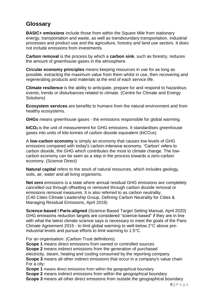### **Glossary**

**BASIC+ emissions** include those from within the Square Mile from stationary energy, transportation and waste, as well as transboundary transportation, industrial processes and product use and the agriculture, forestry and land use sectors. It does not include emissions from investments.

**Carbon removal** is the process by which a **carbon sink**, such as forestry, reduces the amount of greenhouse gases in the atmosphere.

**Circular economy principles** means keeping resources in use for as long as possible, extracting the maximum value from them whilst in use, then recovering and regenerating products and materials at the end of each service life.

**Climate resilience** is the ability to anticipate, prepare for and respond to hazardous events, trends or disturbances related to climate. (Centre for Climate and Energy Solutions)

**Ecosystem services** are benefits to humans from the natural environment and from healthy ecosystems.

**GHGs** means greenhouse gases - the emissions responsible for global warming.

**ktCO<sup>2</sup>** is the unit of measurement for GHG emissions. It standardises greenhouse gases into units of kilo-tonnes of carbon dioxide equivalent (ktCO<sub>2</sub>e).

A **low-carbon economy** is simply an economy that causes low levels of GHG emissions compared with today's carbon-intensive economy. 'Carbon' refers to carbon dioxide, the GHG which contributes the most to climate change. The lowcarbon economy can be seen as a step in the process towards a zero-carbon economy. (Science Direct)

**Natural capital** refers to the stock of natural resources, which includes geology, soils, air, water and all living organisms.

**Net zero** emissions is a state where annual residual GHG emissions are completely cancelled out through offsetting or removed through carbon dioxide removal or emissions removal measures. It is also referred to as carbon neutrality. (C40 Cities Climate Leadership Group, Defining Carbon Neutrality for Cities & Managing Residual Emissions, April 2019)

**Science-based / Paris-aligned** (Science-Based Target Setting Manual, April 2020) GHG emissions reduction targets are considered "science-based" if they are in line with what the latest climate science says is necessary to meet the goals of the Paris Climate Agreement 2015 - to limit global warming to well-below 2°C above preindustrial levels and pursue efforts to limit warming to 1.5°C.

For an organisation: (Carbon Trust definitions)

**Scope 1** means direct emissions from owned or controlled sources **Scope 2** means indirect emissions from the generation of purchased electricity, steam, heating and cooling consumed by the reporting company **Scope 3** means all other indirect emissions that occur in a company's value chain For a city:

**Scope 1** means direct emissions from within the geographical boundary

**Scope 2** means indirect emissions from within the geographical boundary

**Scope 3** means all other direct emissions from outside the geographical boundary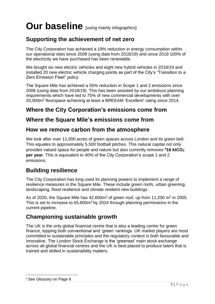# Our baseline [using mainly infographics]

## **Supporting the achievement of net zero**

The City Corporation has achieved a 19% reduction in energy consumption within our operational sites since 2008 (using data from 2018/19) and since 2018 100% of the electricity we have purchased has been renewable.

We bought six new electric vehicles and eight new hybrid vehicles in 2018/19 and installed 20 new electric vehicle charging points as part of the City's "Transition to a Zero Emission Fleet" policy.

The Square Mile has achieved a 55% reduction in Scope 1 and 2 emissions since 2008 (using data from 2018/19). This has been assisted by our ambitious planning requirements which have led to 75% of new commercial developments with over 20,000m<sup>2</sup> floorspace achieving at least a BREEAM 'Excellent' rating since 2014.

## **Where the City Corporation's emissions come from**

#### **Where the Square Mile's emissions come from**

#### **How we remove carbon from the atmosphere**

We look after over 11,000 acres of green spaces across London and its green belt. This equates to approximately 5,500 football pitches. This natural capital not only provides valued space for people and nature but also currently removes **<sup>4</sup>16 ktCO<sup>2</sup> per year**. This is equivalent to 40% of the City Corporation's scope 1 and 2 emissions.

#### **Building resilience**

The City Corporation has long used its planning powers to implement a range of resilience measures in the Square Mile. These include green roofs, urban greening, landscaping, flood resilience and climate resilient new buildings.

As of 2020, the Square Mile has  $42,600m^2$  of green roof, up from 11,200 m<sup>2</sup> in 2005. This is set to increase to 65,800m<sup>2</sup>by 2024 through planning permissions in the current pipeline.

### **Championing sustainable growth**

The UK is the only global financial centre that is also a leading centre for green finance, topping both conventional and 'green' rankings. UK market players are most committed to sustainable principles and the regulatory context is both favourable and innovative. The London Stock Exchange is the 'greenest' main stock exchange across all global financial centres and the UK is best placed to produce talent that is trained and skilled in sustainability matters.

#### <sup>4</sup> See Glossary on Page 6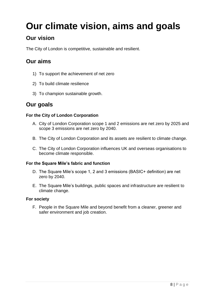# **Our climate vision, aims and goals**

## **Our vision**

The City of London is competitive, sustainable and resilient.

### **Our aims**

- 1) To support the achievement of net zero
- 2) To build climate resilience
- 3) To champion sustainable growth.

#### **Our goals**

#### **For the City of London Corporation**

- A. City of London Corporation scope 1 and 2 emissions are net zero by 2025 and scope 3 emissions are net zero by 2040.
- B. The City of London Corporation and its assets are resilient to climate change.
- C. The City of London Corporation influences UK and overseas organisations to become climate responsible.

#### **For the Square Mile's fabric and function**

- D. The Square Mile's scope 1, 2 and 3 emissions (BASIC+ definition) are net zero by 2040.
- E. The Square Mile's buildings, public spaces and infrastructure are resilient to climate change.

#### **For society**

F. People in the Square Mile and beyond benefit from a cleaner, greener and safer environment and job creation.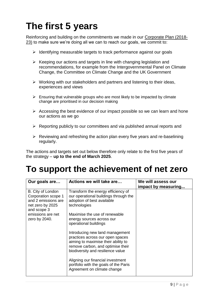# **The first 5 years**

Reinforcing and building on the commitments we made in our Corporate Plan (2018- 23) to make sure we're doing all we can to reach our goals, we commit to:

- ➢ Identifying measurable targets to track performance against our goals
- $\triangleright$  Keeping our actions and targets in line with changing legislation and recommendations, for example from the Intergovernmental Panel on Climate Change, the Committee on Climate Change and the UK Government
- ➢ Working with our stakeholders and partners and listening to their ideas, experiences and views
- $\triangleright$  Ensuring that vulnerable groups who are most likely to be impacted by climate change are prioritised in our decision making
- $\triangleright$  Accessing the best evidence of our impact possible so we can learn and hone our actions as we go
- ➢ Reporting publicly to our committees and via published annual reports and
- $\triangleright$  Reviewing and refreshing the action plan every five years and re-baselining regularly.

The actions and targets set out below therefore only relate to the first five years of the strategy – **up to the end of March 2025**.

## **To support the achievement of net zero**

| Our goals are                                                                                      | Actions we will take are                                                                                                                                                             | We will assess our<br>impact by measuring |
|----------------------------------------------------------------------------------------------------|--------------------------------------------------------------------------------------------------------------------------------------------------------------------------------------|-------------------------------------------|
| B. City of London<br>Corporation scope 1<br>and 2 emissions are<br>net zero by 2025<br>and scope 3 | Transform the energy efficiency of<br>our operational buildings through the<br>adoption of best available<br>technologies                                                            |                                           |
| emissions are net<br>zero by 2040.                                                                 | Maximise the use of renewable<br>energy sources across our<br>operational buildings                                                                                                  |                                           |
|                                                                                                    | Introducing new land management<br>practices across our open spaces<br>aiming to maximise their ability to<br>remove carbon, and optimise their<br>biodiversity and resilience value |                                           |
|                                                                                                    | Aligning our financial investment<br>portfolio with the goals of the Paris<br>Agreement on climate change                                                                            |                                           |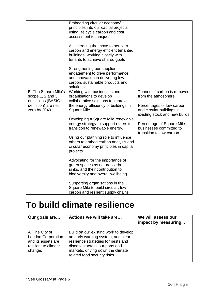|                      | Embedding circular economy <sup>5</sup> |                               |
|----------------------|-----------------------------------------|-------------------------------|
|                      | principles into our capital projects    |                               |
|                      | using life cycle carbon and cost        |                               |
|                      | assessment techniques                   |                               |
|                      |                                         |                               |
|                      | Accelerating the move to net zero       |                               |
|                      | carbon and energy efficient tenanted    |                               |
|                      | buildings, working closely with         |                               |
|                      | tenants to achieve shared goals         |                               |
|                      |                                         |                               |
|                      | Strengthening our supplier              |                               |
|                      | engagement to drive performance         |                               |
|                      | and innovation in delivering low        |                               |
|                      | carbon, sustainable products and        |                               |
|                      | solutions                               |                               |
| E. The Square Mile's | Working with businesses and             | Tonnes of carbon is removed   |
| scope 1, 2 and 3     | organisations to develop                |                               |
|                      | collaborative solutions to improve      | from the atmosphere           |
| emissions (BASIC+    |                                         |                               |
| definition) are net  | the energy efficiency of buildings in   | Percentages of low-carbon     |
| zero by 2040.        | <b>Square Mile</b>                      | and circular buildings in     |
|                      |                                         | existing stock and new builds |
|                      | Developing a Square Mile renewable      |                               |
|                      | energy strategy to support others to    | Percentage of Square Mile     |
|                      | transition to renewable energy.         | businesses committed to       |
|                      |                                         | transition to low-carbon      |
|                      | Using our planning role to influence    |                               |
|                      | others to embed carbon analysis and     |                               |
|                      | circular economy principles in capital  |                               |
|                      | projects                                |                               |
|                      |                                         |                               |
|                      | Advocating for the importance of        |                               |
|                      | green spaces as natural carbon          |                               |
|                      | sinks, and their contribution to        |                               |
|                      | biodiversity and overall wellbeing      |                               |
|                      |                                         |                               |
|                      | Supporting organisations in the         |                               |
|                      | Square Mile to build circular, low-     |                               |
|                      | carbon and resilient supply chains      |                               |

## **To build climate resilience**

| Our goals are                                                                                        | Actions we will take are                                                                                                                                                                                                | We will assess our<br>impact by measuring |
|------------------------------------------------------------------------------------------------------|-------------------------------------------------------------------------------------------------------------------------------------------------------------------------------------------------------------------------|-------------------------------------------|
| A. The City of<br><b>London Corporation</b><br>and its assets are<br>resilient to climate<br>change. | Build on our existing work to develop<br>an early warning system, and clear<br>resilience strategies for pests and<br>diseases across our ports and<br>markets, driving down the climate<br>related food security risks |                                           |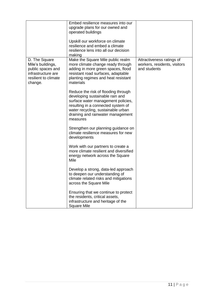|                                                                                                                  | Embed resilience measures into our<br>upgrade plans for our owned and<br>operated buildings<br>Upskill our workforce on climate<br>resilience and embed a climate<br>resilience lens into all our decision<br>making                      |                                                                           |
|------------------------------------------------------------------------------------------------------------------|-------------------------------------------------------------------------------------------------------------------------------------------------------------------------------------------------------------------------------------------|---------------------------------------------------------------------------|
| D. The Square<br>Mile's buildings,<br>public spaces and<br>infrastructure are<br>resilient to climate<br>change. | Make the Square Mile public realm<br>more climate change ready through<br>adding in more green spaces, flood<br>resistant road surfaces, adaptable<br>planting regimes and heat resistant<br>materials                                    | Attractiveness ratings of<br>workers, residents, visitors<br>and students |
|                                                                                                                  | Reduce the risk of flooding through<br>developing sustainable rain and<br>surface water management policies,<br>resulting in a connected system of<br>water recycling, sustainable urban<br>draining and rainwater management<br>measures |                                                                           |
|                                                                                                                  | Strengthen our planning guidance on<br>climate resilience measures for new<br>developments                                                                                                                                                |                                                                           |
|                                                                                                                  | Work with our partners to create a<br>more climate resilient and diversified<br>energy network across the Square<br>Mile                                                                                                                  |                                                                           |
|                                                                                                                  | Develop a strong, data-led approach<br>to deepen our understanding of<br>climate related risks and mitigations<br>across the Square Mile                                                                                                  |                                                                           |
|                                                                                                                  | Ensuring that we continue to protect<br>the residents, critical assets,<br>infrastructure and heritage of the<br><b>Square Mile</b>                                                                                                       |                                                                           |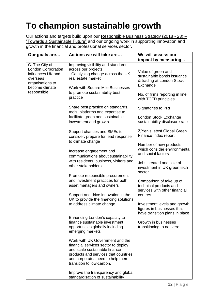# **To champion sustainable growth**

Our actions and targets build upon our Responsible Business Strategy (2018 - 23) -"Towards a Sustainable Future" and our ongoing work in supporting innovation and growth in the financial and professional services sector.

| Our goals are                                                                                                                      | Actions we will take are                                                                                                                                                                                         | We will assess our<br>impact by measuring                                                                                                           |
|------------------------------------------------------------------------------------------------------------------------------------|------------------------------------------------------------------------------------------------------------------------------------------------------------------------------------------------------------------|-----------------------------------------------------------------------------------------------------------------------------------------------------|
| C. The City of<br><b>London Corporation</b><br>influences UK and<br>overseas<br>organisations to<br>become climate<br>responsible. | Improving visibility and standards<br>across our projects<br>- Catalysing change across the UK<br>real estate market<br>Work with Square Mile Businesses<br>to promote sustainability best<br>practice           | Value of green and<br>sustainable bonds issuance<br>& trading at London Stock<br>Exchange<br>No. of firms reporting in line<br>with TCFD principles |
|                                                                                                                                    | Share best practice on standards,<br>tools, platforms and expertise to<br>facilitate green and sustainable<br>investment and growth                                                                              | Signatories to PRI<br>London Stock Exchange<br>sustainability disclosure rate                                                                       |
|                                                                                                                                    | Support charities and SMEs to<br>consider, prepare for lead response<br>to climate change                                                                                                                        | Z/Yen's latest Global Green<br>Finance Index report<br>Number of new products                                                                       |
|                                                                                                                                    | Increase engagement and<br>communications about sustainability                                                                                                                                                   | which consider environmental<br>and social factors                                                                                                  |
|                                                                                                                                    | with residents, business, visitors and<br>other stakeholders                                                                                                                                                     | Jobs created and size of<br>investment in UK green tech<br>sector                                                                                   |
|                                                                                                                                    | Promote responsible procurement<br>and investment practices for both<br>asset managers and owners<br>Support and drive innovation in the                                                                         | Comparison of take up of<br>technical products and<br>services with other financial<br>centres                                                      |
|                                                                                                                                    | UK to provide the financing solutions<br>to address climate change                                                                                                                                               | Investment levels and growth<br>figures in businesses that<br>have transition plans in place                                                        |
|                                                                                                                                    | Enhancing London's capacity to<br>finance sustainable investment<br>opportunities globally including<br>emerging markets                                                                                         | Growth in businesses<br>transitioning to net zero.                                                                                                  |
|                                                                                                                                    | Work with UK Government and the<br>financial services sector to deploy<br>and scale sustainable finance<br>products and services that countries<br>and corporates need to help them<br>transition to low-carbon. |                                                                                                                                                     |
|                                                                                                                                    | Improve the transparency and global<br>standardisation of sustainability                                                                                                                                         |                                                                                                                                                     |